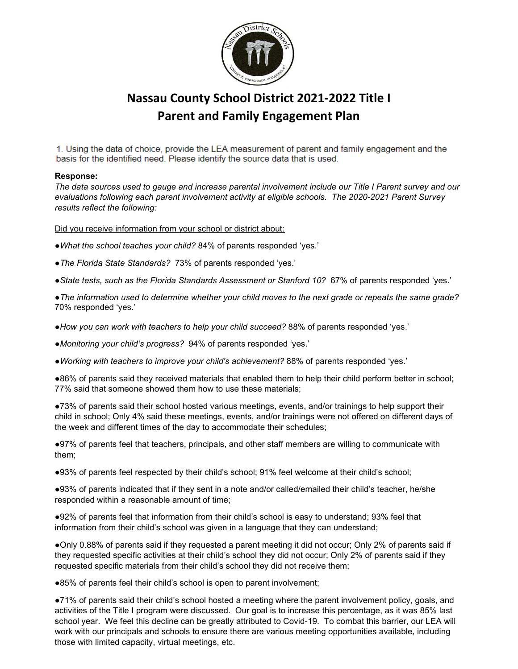

# **Nassau County School District 2021-2022 Title I Parent and Family Engagement Plan**

1. Using the data of choice, provide the LEA measurement of parent and family engagement and the basis for the identified need. Please identify the source data that is used.

## **Response:**

*The data sources used to gauge and increase parental involvement include our Title I Parent survey and our evaluations following each parent involvement activity at eligible schools. The 2020-2021 Parent Survey results reflect the following:*

Did you receive information from your school or district about:

- *●What the school teaches your child?* 84% of parents responded 'yes.'
- *●The Florida State Standards?* 73% of parents responded 'yes.'
- *●State tests, such as the Florida Standards Assessment or Stanford 10?* 67% of parents responded 'yes.'

*●The information used to determine whether your child moves to the next grade or repeats the same grade?* 70% responded 'yes.'

- *●How you can work with teachers to help your child succeed?* 88% of parents responded 'yes.'
- *●Monitoring your child's progress?* 94% of parents responded 'yes.'
- *●Working with teachers to improve your child's achievement?* 88% of parents responded 'yes.'

●86% of parents said they received materials that enabled them to help their child perform better in school; 77% said that someone showed them how to use these materials;

●73% of parents said their school hosted various meetings, events, and/or trainings to help support their child in school; Only 4% said these meetings, events, and/or trainings were not offered on different days of the week and different times of the day to accommodate their schedules;

●97% of parents feel that teachers, principals, and other staff members are willing to communicate with them;

●93% of parents feel respected by their child's school; 91% feel welcome at their child's school;

●93% of parents indicated that if they sent in a note and/or called/emailed their child's teacher, he/she responded within a reasonable amount of time;

●92% of parents feel that information from their child's school is easy to understand; 93% feel that information from their child's school was given in a language that they can understand;

●Only 0.88% of parents said if they requested a parent meeting it did not occur; Only 2% of parents said if they requested specific activities at their child's school they did not occur; Only 2% of parents said if they requested specific materials from their child's school they did not receive them;

●85% of parents feel their child's school is open to parent involvement;

●71% of parents said their child's school hosted a meeting where the parent involvement policy, goals, and activities of the Title I program were discussed. Our goal is to increase this percentage, as it was 85% last school year. We feel this decline can be greatly attributed to Covid-19. To combat this barrier, our LEA will work with our principals and schools to ensure there are various meeting opportunities available, including those with limited capacity, virtual meetings, etc.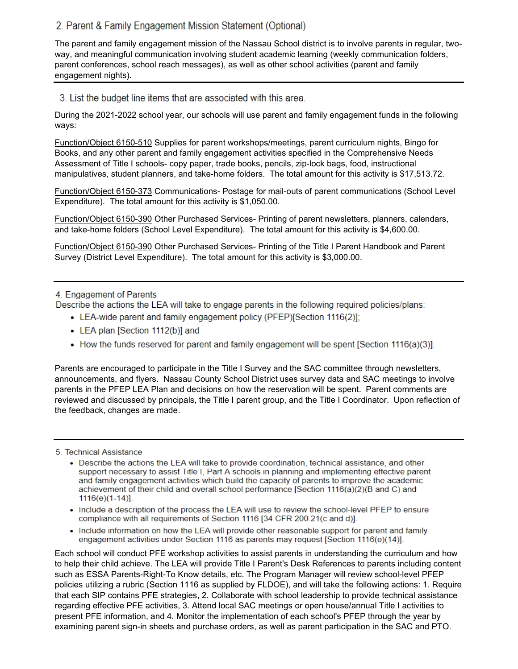# 2. Parent & Family Engagement Mission Statement (Optional)

The parent and family engagement mission of the Nassau School district is to involve parents in regular, twoway, and meaningful communication involving student academic learning (weekly communication folders, parent conferences, school reach messages), as well as other school activities (parent and family engagement nights).

3. List the budget line items that are associated with this area.

During the 2021-2022 school year, our schools will use parent and family engagement funds in the following ways:

Function/Object 6150-510 Supplies for parent workshops/meetings, parent curriculum nights, Bingo for Books, and any other parent and family engagement activities specified in the Comprehensive Needs Assessment of Title I schools- copy paper, trade books, pencils, zip-lock bags, food, instructional manipulatives, student planners, and take-home folders. The total amount for this activity is \$17,513.72.

Function/Object 6150-373 Communications- Postage for mail-outs of parent communications (School Level Expenditure). The total amount for this activity is \$1,050.00.

Function/Object 6150-390 Other Purchased Services- Printing of parent newsletters, planners, calendars, and take-home folders (School Level Expenditure). The total amount for this activity is \$4,600.00.

Function/Object 6150-390 Other Purchased Services- Printing of the Title I Parent Handbook and Parent Survey (District Level Expenditure). The total amount for this activity is \$3,000.00.

# 4. Engagement of Parents

Describe the actions the LEA will take to engage parents in the following required policies/plans:

- LEA-wide parent and family engagement policy (PFEP)[Section 1116(2)];
- LEA plan [Section 1112(b)] and
- How the funds reserved for parent and family engagement will be spent [Section 1116(a)(3)].

Parents are encouraged to participate in the Title I Survey and the SAC committee through newsletters, announcements, and flyers. Nassau County School District uses survey data and SAC meetings to involve parents in the PFEP LEA Plan and decisions on how the reservation will be spent. Parent comments are reviewed and discussed by principals, the Title I parent group, and the Title I Coordinator. Upon reflection of the feedback, changes are made.

5. Technical Assistance

- Describe the actions the LEA will take to provide coordination, technical assistance, and other support necessary to assist Title I, Part A schools in planning and implementing effective parent and family engagement activities which build the capacity of parents to improve the academic achievement of their child and overall school performance [Section 1116(a)(2)(B and C) and 1116(e)(1-14)].
- Include a description of the process the LEA will use to review the school-level PFEP to ensure compliance with all requirements of Section 1116 [34 CFR 200.21(c and d)].
- Include information on how the LEA will provide other reasonable support for parent and family engagement activities under Section 1116 as parents may request [Section 1116(e)(14)].

Each school will conduct PFE workshop activities to assist parents in understanding the curriculum and how to help their child achieve. The LEA will provide Title I Parent's Desk References to parents including content such as ESSA Parents-Right-To Know details, etc. The Program Manager will review school-level PFEP policies utilizing a rubric (Section 1116 as supplied by FLDOE), and will take the following actions: 1. Require that each SIP contains PFE strategies, 2. Collaborate with school leadership to provide technical assistance regarding effective PFE activities, 3. Attend local SAC meetings or open house/annual Title I activities to present PFE information, and 4. Monitor the implementation of each school's PFEP through the year by examining parent sign-in sheets and purchase orders, as well as parent participation in the SAC and PTO.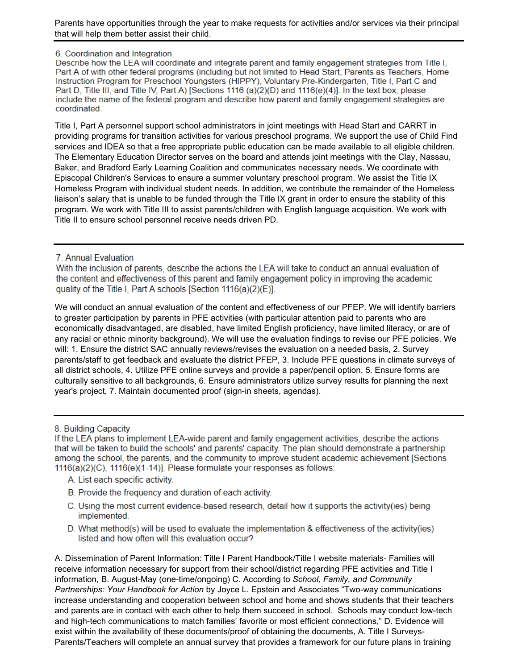Parents have opportunities through the year to make requests for activities and/or services via their principal that will help them better assist their child.

#### 6. Coordination and Integration

Describe how the LEA will coordinate and integrate parent and family engagement strategies from Title I. Part A of with other federal programs (including but not limited to Head Start, Parents as Teachers, Home Instruction Program for Preschool Youngsters (HIPPY), Voluntary Pre-Kindergarten, Title I, Part C and Part D, Title III, and Title IV, Part A) [Sections 1116 (a)(2)(D) and 1116(e)(4)]. In the text box, please include the name of the federal program and describe how parent and family engagement strategies are coordinated.

Title I, Part A personnel support school administrators in joint meetings with Head Start and CARRT in providing programs for transition activities for various preschool programs. We support the use of Child Find services and IDEA so that a free appropriate public education can be made available to all eligible children. The Elementary Education Director serves on the board and attends joint meetings with the Clay, Nassau, Baker, and Bradford Early Learning Coalition and communicates necessary needs. We coordinate with Episcopal Children's Services to ensure a summer voluntary preschool program. We assist the Title IX Homeless Program with individual student needs. In addition, we contribute the remainder of the Homeless liaison's salary that is unable to be funded through the Title IX grant in order to ensure the stability of this program. We work with Title III to assist parents/children with English language acquisition. We work with Title II to ensure school personnel receive needs driven PD.

## 7. Annual Evaluation

With the inclusion of parents, describe the actions the LEA will take to conduct an annual evaluation of the content and effectiveness of this parent and family engagement policy in improving the academic quality of the Title I, Part A schools [Section 1116(a)(2)(E)].

We will conduct an annual evaluation of the content and effectiveness of our PFEP. We will identify barriers to greater participation by parents in PFE activities (with particular attention paid to parents who are economically disadvantaged, are disabled, have limited English proficiency, have limited literacy, or are of any racial or ethnic minority background). We will use the evaluation findings to revise our PFE policies. We will: 1. Ensure the district SAC annually reviews/revises the evaluation on a needed basis, 2. Survey parents/staff to get feedback and evaluate the district PFEP, 3. Include PFE questions in climate surveys of all district schools, 4. Utilize PFE online surveys and provide a paper/pencil option, 5. Ensure forms are culturally sensitive to all backgrounds, 6. Ensure administrators utilize survey results for planning the next year's project, 7. Maintain documented proof (sign-in sheets, agendas).

8. Building Capacity

If the LEA plans to implement LEA-wide parent and family engagement activities, describe the actions that will be taken to build the schools' and parents' capacity. The plan should demonstrate a partnership among the school, the parents, and the community to improve student academic achievement [Sections] 1116(a)(2)(C), 1116(e)(1-14)]. Please formulate your responses as follows:

- A. List each specific activity.
- B. Provide the frequency and duration of each activity.
- C. Using the most current evidence-based research, detail how it supports the activity (ies) being implemented.
- D. What method(s) will be used to evaluate the implementation & effectiveness of the activity(ies) listed and how often will this evaluation occur?

A. Dissemination of Parent Information: Title I Parent Handbook/Title I website materials- Families will receive information necessary for support from their school/district regarding PFE activities and Title I information, B. August-May (one-time/ongoing) C. According to *School, Family, and Community Partnerships: Your Handbook for Action* by Joyce L. Epstein and Associates "Two-way communications increase understanding and cooperation between school and home and shows students that their teachers and parents are in contact with each other to help them succeed in school. Schools may conduct low-tech and high-tech communications to match families' favorite or most efficient connections," D. Evidence will exist within the availability of these documents/proof of obtaining the documents, A. Title I Surveys-Parents/Teachers will complete an annual survey that provides a framework for our future plans in training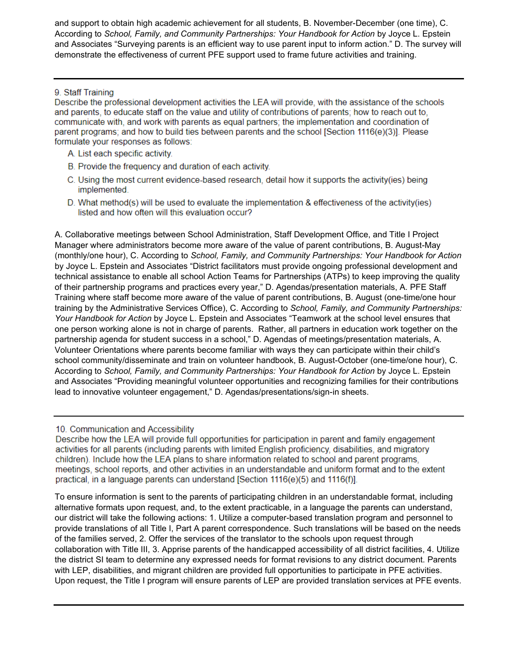and support to obtain high academic achievement for all students, B. November-December (one time), C. According to *School, Family, and Community Partnerships: Your Handbook for Action* by Joyce L. Epstein and Associates "Surveying parents is an efficient way to use parent input to inform action." D. The survey will demonstrate the effectiveness of current PFE support used to frame future activities and training.

# 9. Staff Training

Describe the professional development activities the LEA will provide, with the assistance of the schools and parents, to educate staff on the value and utility of contributions of parents; how to reach out to, communicate with, and work with parents as equal partners; the implementation and coordination of parent programs; and how to build ties between parents and the school [Section 1116(e)(3)]. Please formulate your responses as follows:

- A. List each specific activity.
- B. Provide the frequency and duration of each activity.
- C. Using the most current evidence-based research, detail how it supports the activity(ies) being implemented.
- D. What method(s) will be used to evaluate the implementation & effectiveness of the activity(ies) listed and how often will this evaluation occur?

A. Collaborative meetings between School Administration, Staff Development Office, and Title I Project Manager where administrators become more aware of the value of parent contributions, B. August-May (monthly/one hour), C. According to *School, Family, and Community Partnerships: Your Handbook for Action* by Joyce L. Epstein and Associates "District facilitators must provide ongoing professional development and technical assistance to enable all school Action Teams for Partnerships (ATPs) to keep improving the quality of their partnership programs and practices every year," D. Agendas/presentation materials, A. PFE Staff Training where staff become more aware of the value of parent contributions, B. August (one-time/one hour training by the Administrative Services Office), C. According to *School, Family, and Community Partnerships: Your Handbook for Action* by Joyce L. Epstein and Associates "Teamwork at the school level ensures that one person working alone is not in charge of parents. Rather, all partners in education work together on the partnership agenda for student success in a school," D. Agendas of meetings/presentation materials, A. Volunteer Orientations where parents become familiar with ways they can participate within their child's school community/disseminate and train on volunteer handbook, B. August-October (one-time/one hour), C. According to *School, Family, and Community Partnerships: Your Handbook for Action* by Joyce L. Epstein and Associates "Providing meaningful volunteer opportunities and recognizing families for their contributions lead to innovative volunteer engagement," D. Agendas/presentations/sign-in sheets.

10. Communication and Accessibility

Describe how the LEA will provide full opportunities for participation in parent and family engagement activities for all parents (including parents with limited English proficiency, disabilities, and migratory children). Include how the LEA plans to share information related to school and parent programs, meetings, school reports, and other activities in an understandable and uniform format and to the extent practical, in a language parents can understand [Section 1116(e)(5) and 1116(f)].

To ensure information is sent to the parents of participating children in an understandable format, including alternative formats upon request, and, to the extent practicable, in a language the parents can understand, our district will take the following actions: 1. Utilize a computer-based translation program and personnel to provide translations of all Title I, Part A parent correspondence. Such translations will be based on the needs of the families served, 2. Offer the services of the translator to the schools upon request through collaboration with Title III, 3. Apprise parents of the handicapped accessibility of all district facilities, 4. Utilize the district SI team to determine any expressed needs for format revisions to any district document. Parents with LEP, disabilities, and migrant children are provided full opportunities to participate in PFE activities. Upon request, the Title I program will ensure parents of LEP are provided translation services at PFE events.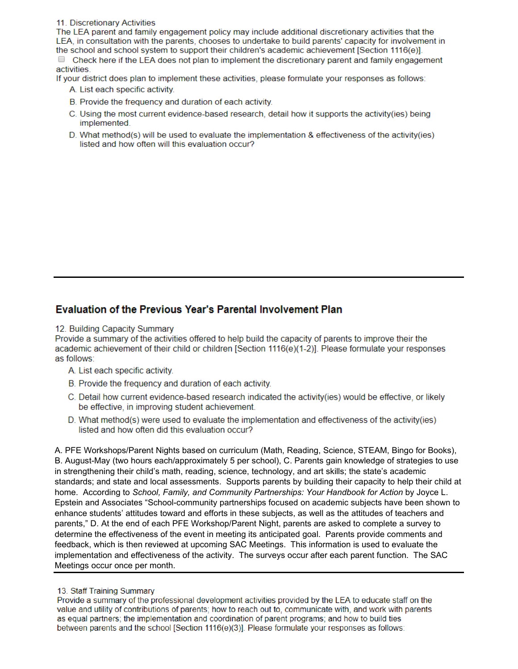11. Discretionary Activities

The LEA parent and family engagement policy may include additional discretionary activities that the LEA, in consultation with the parents, chooses to undertake to build parents' capacity for involvement in the school and school system to support their children's academic achievement [Section 1116(e)]. • Check here if the LEA does not plan to implement the discretionary parent and family engagement activities.

If your district does plan to implement these activities, please formulate your responses as follows:

A. List each specific activity.

- B. Provide the frequency and duration of each activity.
- C. Using the most current evidence-based research, detail how it supports the activity (ies) being implemented.
- D. What method(s) will be used to evaluate the implementation & effectiveness of the activity(ies) listed and how often will this evaluation occur?

# **Evaluation of the Previous Year's Parental Involvement Plan**

### 12. Building Capacity Summary

Provide a summary of the activities offered to help build the capacity of parents to improve their the academic achievement of their child or children [Section 1116(e)(1-2)]. Please formulate your responses as follows:

- A. List each specific activity.
- B. Provide the frequency and duration of each activity.
- C. Detail how current evidence-based research indicated the activity (ies) would be effective, or likely be effective, in improving student achievement.
- D. What method(s) were used to evaluate the implementation and effectiveness of the activity(ies) listed and how often did this evaluation occur?

A. PFE Workshops/Parent Nights based on curriculum (Math, Reading, Science, STEAM, Bingo for Books), B. August-May (two hours each/approximately 5 per school), C. Parents gain knowledge of strategies to use in strengthening their child's math, reading, science, technology, and art skills; the state's academic standards; and state and local assessments. Supports parents by building their capacity to help their child at home. According to *School, Family, and Community Partnerships: Your Handbook for Action* by Joyce L. Epstein and Associates "School-community partnerships focused on academic subjects have been shown to enhance students' attitudes toward and efforts in these subjects, as well as the attitudes of teachers and parents," D. At the end of each PFE Workshop/Parent Night, parents are asked to complete a survey to determine the effectiveness of the event in meeting its anticipated goal. Parents provide comments and feedback, which is then reviewed at upcoming SAC Meetings. This information is used to evaluate the implementation and effectiveness of the activity. The surveys occur after each parent function. The SAC Meetings occur once per month.

### 13. Staff Training Summary

Provide a summary of the professional development activities provided by the LEA to educate staff on the value and utility of contributions of parents; how to reach out to, communicate with, and work with parents as equal partners; the implementation and coordination of parent programs; and how to build ties between parents and the school [Section 1116(e)(3)]. Please formulate your responses as follows: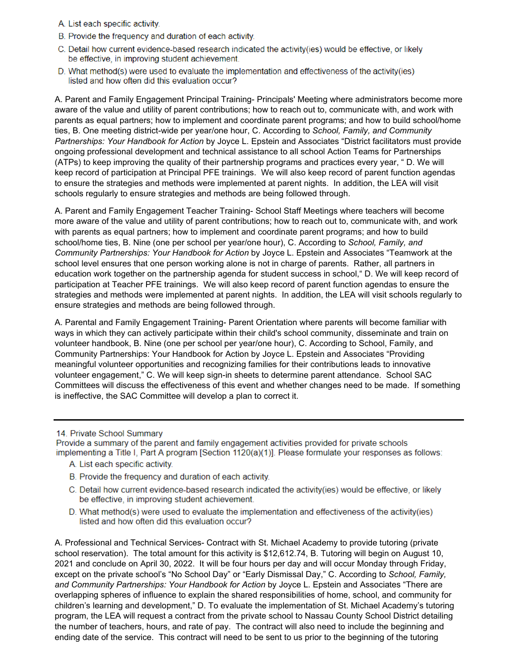- A. List each specific activity.
- B. Provide the frequency and duration of each activity.
- C. Detail how current evidence-based research indicated the activity (ies) would be effective, or likely be effective, in improving student achievement.
- D. What method(s) were used to evaluate the implementation and effectiveness of the activity(ies) listed and how often did this evaluation occur?

A. Parent and Family Engagement Principal Training- Principals' Meeting where administrators become more aware of the value and utility of parent contributions; how to reach out to, communicate with, and work with parents as equal partners; how to implement and coordinate parent programs; and how to build school/home ties, B. One meeting district-wide per year/one hour, C. According to *School, Family, and Community Partnerships: Your Handbook for Action* by Joyce L. Epstein and Associates "District facilitators must provide ongoing professional development and technical assistance to all school Action Teams for Partnerships (ATPs) to keep improving the quality of their partnership programs and practices every year, " D. We will keep record of participation at Principal PFE trainings. We will also keep record of parent function agendas to ensure the strategies and methods were implemented at parent nights. In addition, the LEA will visit schools regularly to ensure strategies and methods are being followed through.

A. Parent and Family Engagement Teacher Training- School Staff Meetings where teachers will become more aware of the value and utility of parent contributions; how to reach out to, communicate with, and work with parents as equal partners; how to implement and coordinate parent programs; and how to build school/home ties, B. Nine (one per school per year/one hour), C. According to *School, Family, and Community Partnerships: Your Handbook for Action* by Joyce L. Epstein and Associates "Teamwork at the school level ensures that one person working alone is not in charge of parents. Rather, all partners in education work together on the partnership agenda for student success in school," D. We will keep record of participation at Teacher PFE trainings. We will also keep record of parent function agendas to ensure the strategies and methods were implemented at parent nights. In addition, the LEA will visit schools regularly to ensure strategies and methods are being followed through.

A. Parental and Family Engagement Training- Parent Orientation where parents will become familiar with ways in which they can actively participate within their child's school community, disseminate and train on volunteer handbook, B. Nine (one per school per year/one hour), C. According to School, Family, and Community Partnerships: Your Handbook for Action by Joyce L. Epstein and Associates "Providing meaningful volunteer opportunities and recognizing families for their contributions leads to innovative volunteer engagement," C. We will keep sign-in sheets to determine parent attendance. School SAC Committees will discuss the effectiveness of this event and whether changes need to be made. If something is ineffective, the SAC Committee will develop a plan to correct it.

#### 14. Private School Summary

Provide a summary of the parent and family engagement activities provided for private schools implementing a Title I, Part A program [Section 1120(a)(1)]. Please formulate your responses as follows:

- A. List each specific activity.
- B. Provide the frequency and duration of each activity.
- C. Detail how current evidence-based research indicated the activity(ies) would be effective, or likely be effective, in improving student achievement.
- D. What method(s) were used to evaluate the implementation and effectiveness of the activity(ies) listed and how often did this evaluation occur?

A. Professional and Technical Services- Contract with St. Michael Academy to provide tutoring (private school reservation). The total amount for this activity is \$12,612.74, B. Tutoring will begin on August 10, 2021 and conclude on April 30, 2022. It will be four hours per day and will occur Monday through Friday, except on the private school's "No School Day" or "Early Dismissal Day," C. According to *School, Family, and Community Partnerships: Your Handbook for Action* by Joyce L. Epstein and Associates "There are overlapping spheres of influence to explain the shared responsibilities of home, school, and community for children's learning and development," D. To evaluate the implementation of St. Michael Academy's tutoring program, the LEA will request a contract from the private school to Nassau County School District detailing the number of teachers, hours, and rate of pay. The contract will also need to include the beginning and ending date of the service. This contract will need to be sent to us prior to the beginning of the tutoring